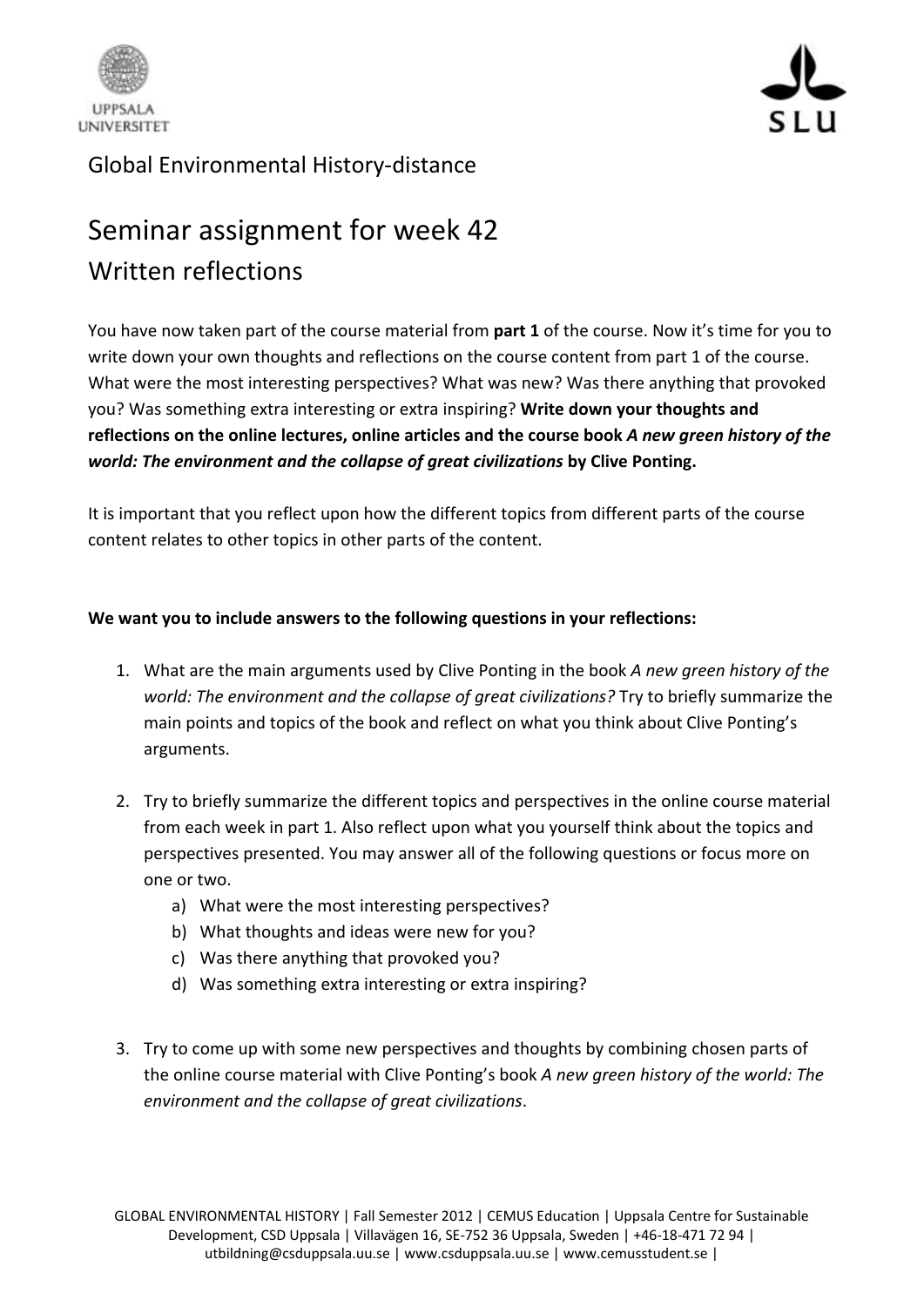



## Global Environmental History-distance

## Seminar assignment for week 42 Written reflections

You have now taken part of the course material from **part 1** of the course. Now it's time for you to write down your own thoughts and reflections on the course content from part 1 of the course. What were the most interesting perspectives? What was new? Was there anything that provoked you? Was something extra interesting or extra inspiring? **Write down your thoughts and reflections on the online lectures, online articles and the course book** *A new green history of the world: The environment and the collapse of great civilizations* **by Clive Ponting.**

It is important that you reflect upon how the different topics from different parts of the course content relates to other topics in other parts of the content.

## **We want you to include answers to the following questions in your reflections:**

- 1. What are the main arguments used by Clive Ponting in the book *A new green history of the world: The environment and the collapse of great civilizations?* Try to briefly summarize the main points and topics of the book and reflect on what you think about Clive Ponting's arguments.
- 2. Try to briefly summarize the different topics and perspectives in the online course material from each week in part 1. Also reflect upon what you yourself think about the topics and perspectives presented. You may answer all of the following questions or focus more on one or two.
	- a) What were the most interesting perspectives?
	- b) What thoughts and ideas were new for you?
	- c) Was there anything that provoked you?
	- d) Was something extra interesting or extra inspiring?
- 3. Try to come up with some new perspectives and thoughts by combining chosen parts of the online course material with Clive Ponting's book *A new green history of the world: The environment and the collapse of great civilizations*.